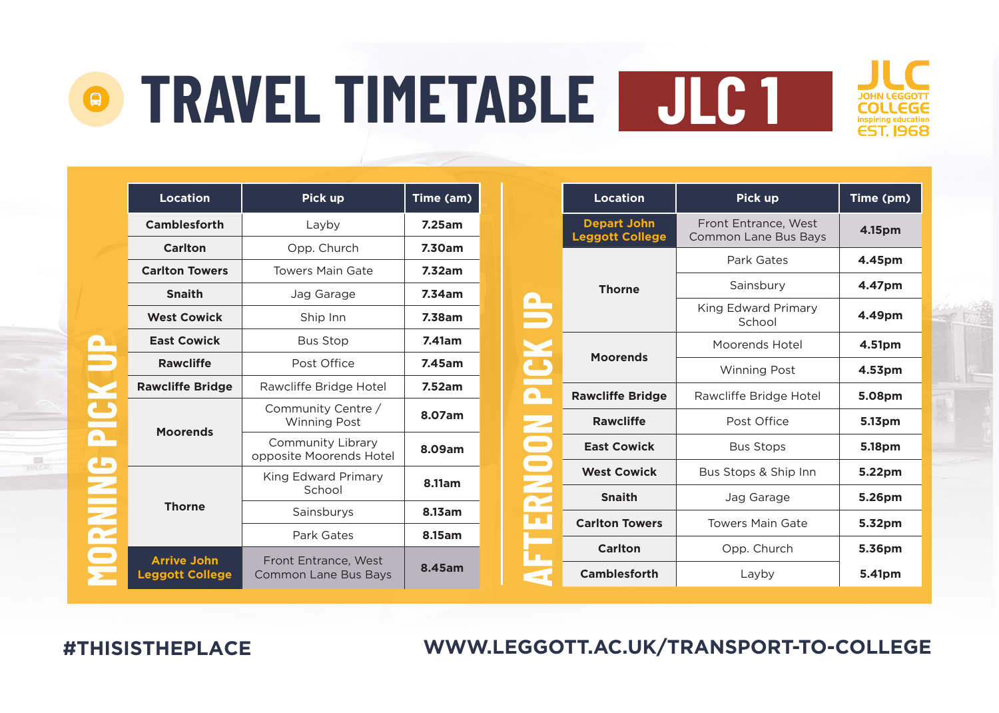| Location                                     | Pick up                                             | Time (am) |
|----------------------------------------------|-----------------------------------------------------|-----------|
| Camblesforth                                 | Layby                                               | 7.25am    |
| Carlton                                      | Opp. Church                                         | 7.30am    |
| <b>Carlton Towers</b>                        | <b>Towers Main Gate</b>                             | 7.32am    |
| <b>Snaith</b>                                | Jag Garage                                          | 7.34am    |
| <b>West Cowick</b>                           | Ship Inn                                            | 7.38am    |
| <b>East Cowick</b>                           | <b>Bus Stop</b>                                     | 7.41am    |
| <b>Rawcliffe</b>                             | Post Office                                         | 7.45am    |
| <b>Rawcliffe Bridge</b>                      | Rawcliffe Bridge Hotel                              | 7.52am    |
| <b>Moorends</b>                              | Community Centre /<br><b>Winning Post</b>           | 8.07am    |
|                                              | Community Library<br>opposite Moorends Hotel        | 8.09am    |
|                                              | King Edward Primary<br>School                       | 8.11am    |
| <b>Thorne</b>                                | 8.13am<br>Sainsburys                                |           |
|                                              | Park Gates                                          | 8.15am    |
| <b>Arrive John</b><br><b>Leggott College</b> | Front Entrance, West<br><b>Common Lane Bus Bays</b> | 8.45am    |

|   | Location                                     | Pick up                                             | Time (pm) |
|---|----------------------------------------------|-----------------------------------------------------|-----------|
|   | <b>Depart John</b><br><b>Leggott College</b> | Front Entrance, West<br><b>Common Lane Bus Bays</b> | 4.15pm    |
|   |                                              | Park Gates                                          | 4.45pm    |
|   | <b>Thorne</b>                                | Sainsbury                                           | 4.47pm    |
|   |                                              | King Edward Primary<br>School                       | 4.49pm    |
| É | <b>Moorends</b>                              | Moorends Hotel                                      | 4.51pm    |
|   |                                              | <b>Winning Post</b>                                 | 4.53pm    |
|   | <b>Rawcliffe Bridge</b>                      | Rawcliffe Bridge Hotel                              | 5.08pm    |
|   | <b>Rawcliffe</b>                             | Post Office                                         | 5.13pm    |
|   | <b>East Cowick</b>                           | <b>Bus Stops</b>                                    |           |
|   | <b>West Cowick</b>                           | Bus Stops & Ship Inn                                | 5.22pm    |
|   | <b>Snaith</b>                                | Jag Garage                                          | 5.26pm    |
|   | <b>Carlton Towers</b>                        | <b>Towers Main Gate</b>                             | 5.32pm    |
|   | Carlton                                      | Opp. Church                                         | 5.36pm    |
|   | Camblesforth                                 | Layby                                               | 5.41pm    |

**WWW.LEGGOTT.AC.UK/TRANSPORT-TO-COLLEGE**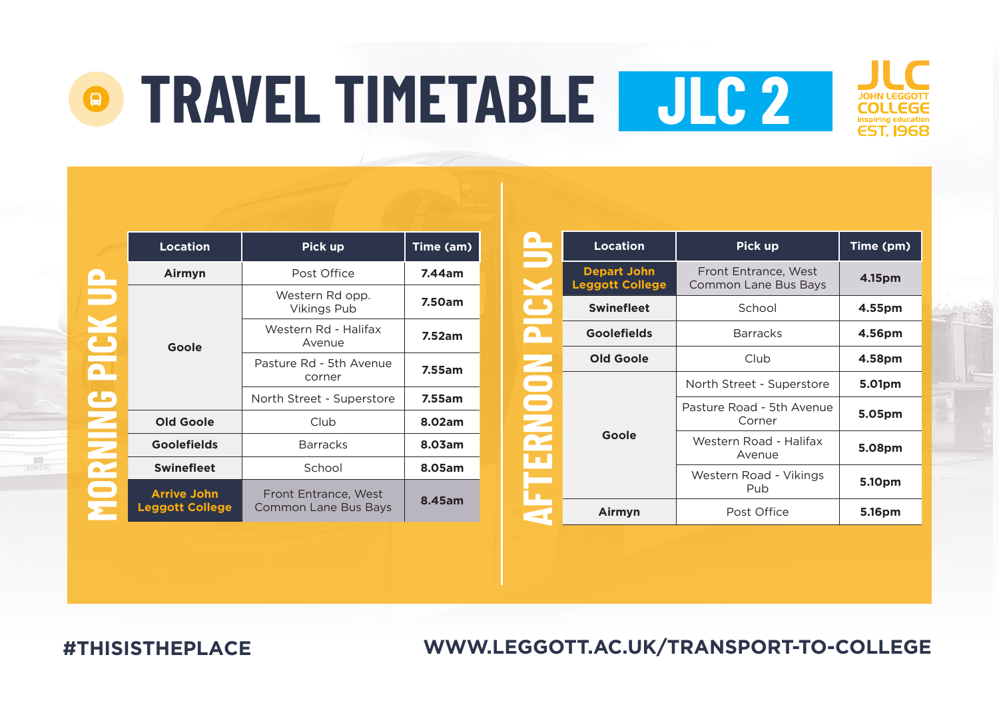## **TRAVEL TIMETABLE JLC 2** $\mathcal{L}$



|                | <b>Location</b>                              | Pick up                                      | Time (am) |
|----------------|----------------------------------------------|----------------------------------------------|-----------|
| $\blacksquare$ | Airmyn                                       | Post Office                                  | 7.44am    |
|                |                                              | Western Rd opp.<br><b>Vikings Pub</b>        | 7.50am    |
|                | Goole                                        | Western Rd - Halifax<br>Avenue               | 7.52am    |
|                |                                              | Pasture Rd - 5th Avenue<br>corner            | 7.55am    |
| مه             |                                              | North Street - Superstore                    | 7.55am    |
|                | Old Goole                                    | Club                                         | 8.02am    |
|                | <b>Goolefields</b>                           | <b>Barracks</b>                              | 8.03am    |
|                | <b>Swinefleet</b>                            | School                                       | 8.05am    |
|                | <b>Arrive John</b><br><b>Leggott College</b> | Front Entrance, West<br>Common Lane Bus Bays | 8.45am    |

|        | <b>Location</b>                              | Pick up                                      | Time (pm) |  |
|--------|----------------------------------------------|----------------------------------------------|-----------|--|
|        | <b>Depart John</b><br><b>Leggott College</b> | Front Entrance, West<br>Common Lane Bus Bays | 4.15pm    |  |
|        | <b>Swinefleet</b>                            | School                                       | 4.55pm    |  |
|        | <b>Goolefields</b>                           | <b>Barracks</b>                              | 4.56pm    |  |
|        | Old Goole                                    | Club                                         |           |  |
| Ξ      |                                              | North Street - Superstore                    | 5.01pm    |  |
| Ξ<br>E |                                              | Pasture Road - 5th Avenue<br>Corner          | 5.05pm    |  |
|        | Goole                                        | Western Road - Halifax<br>Avenue             | 5.08pm    |  |
|        |                                              | Western Road - Vikings<br>Pub                | 5.10pm    |  |
|        | Post Office<br>Airmyn                        |                                              | 5.16pm    |  |

**WWW.LEGGOTT.AC.UK/TRANSPORT-TO-COLLEGE**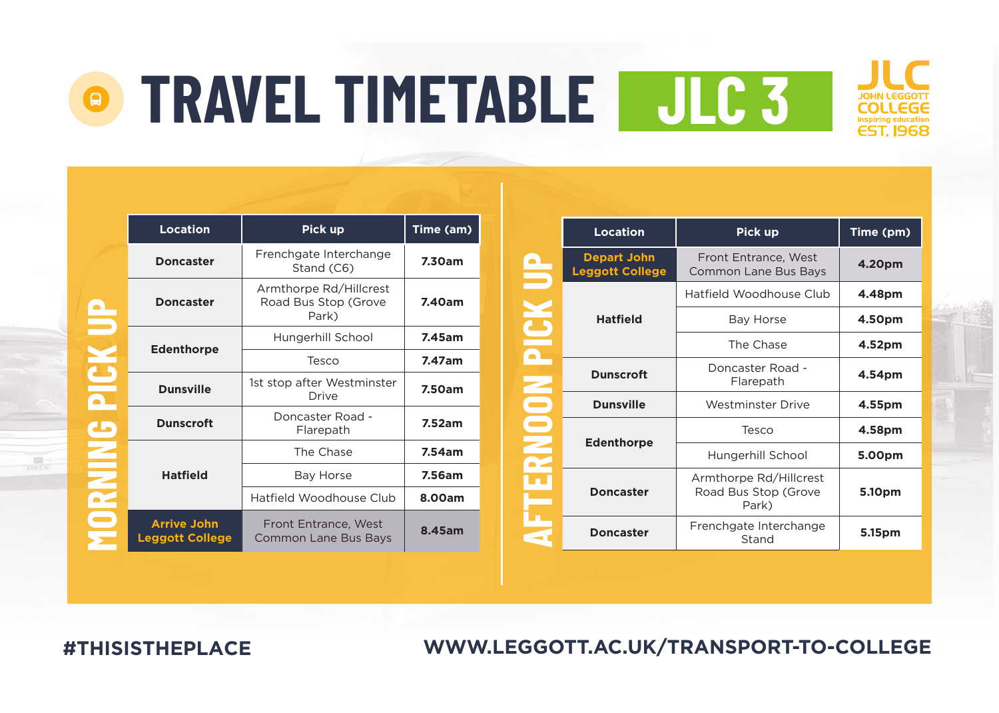|     | <b>Location</b>                              | Pick up                                                 | Time (am) |
|-----|----------------------------------------------|---------------------------------------------------------|-----------|
|     | <b>Doncaster</b>                             | Frenchgate Interchange<br>Stand (C6)                    | 7.30am    |
|     | <b>Doncaster</b>                             | Armthorpe Rd/Hillcrest<br>Road Bus Stop (Grove<br>Park) | 7.40am    |
|     | <b>Edenthorpe</b>                            | Hungerhill School                                       | 7.45am    |
|     |                                              | Tesco                                                   | 7.47am    |
|     | <b>Dunsville</b>                             | 1st stop after Westminster<br><b>Drive</b>              | 7.50am    |
| مه  | <b>Dunscroft</b>                             | Doncaster Road -<br>Flarepath                           | 7.52am    |
|     |                                              | The Chase                                               | 7.54am    |
|     | <b>Hatfield</b>                              | Bay Horse                                               | 7.56am    |
| oŦ, |                                              | Hatfield Woodhouse Club                                 | 8.00am    |
|     | <b>Arrive John</b><br><b>Leggott College</b> | Front Entrance, West<br>Common Lane Bus Bays            | 8.45am    |

|   | <b>Location</b>                              | <b>Pick up</b>                                          | Time (pm) |
|---|----------------------------------------------|---------------------------------------------------------|-----------|
|   | <b>Depart John</b><br><b>Leggott College</b> | Front Entrance, West<br>Common Lane Bus Bays            | 4.20pm    |
|   |                                              | Hatfield Woodhouse Club                                 | 4.48pm    |
|   | <b>Hatfield</b>                              | Bay Horse                                               | 4.50pm    |
|   |                                              | The Chase                                               | 4.52pm    |
|   | <b>Dunscroft</b>                             | Doncaster Road -<br>Flarepath                           | 4.54pm    |
| Ξ | <b>Dunsville</b>                             | <b>Westminster Drive</b>                                | 4.55pm    |
|   | <b>Edenthorpe</b>                            | Tesco                                                   | 4.58pm    |
|   |                                              | Hungerhill School                                       | 5.00pm    |
|   | <b>Doncaster</b>                             | Armthorpe Rd/Hillcrest<br>Road Bus Stop (Grove<br>Park) | 5.10pm    |
|   | <b>Doncaster</b>                             | Frenchgate Interchange<br>5.15pm<br>Stand               |           |

**WWW.LEGGOTT.AC.UK/TRANSPORT-TO-COLLEGE**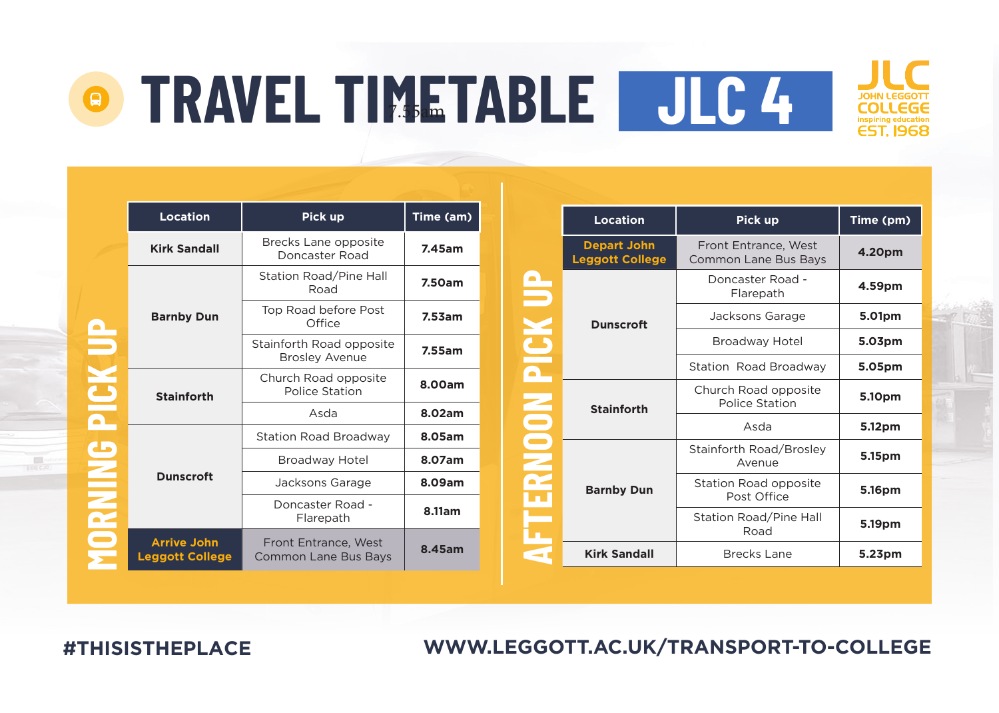|               | <b>Location</b>                              | Pick up                                           | Time (am) |
|---------------|----------------------------------------------|---------------------------------------------------|-----------|
|               | <b>Kirk Sandall</b>                          | Brecks Lane opposite<br>Doncaster Road            | 7.45am    |
|               |                                              | Station Road/Pine Hall<br>Road                    | 7.50am    |
|               | <b>Barnby Dun</b>                            | Top Road before Post<br>Office                    | 7.53am    |
|               |                                              | Stainforth Road opposite<br><b>Brosley Avenue</b> | 7.55am    |
|               | <b>Stainforth</b>                            | Church Road opposite<br>Police Station            | 8.00am    |
|               |                                              | Asda                                              | 8.02am    |
|               |                                              | <b>Station Road Broadway</b>                      | 8.05am    |
|               |                                              | Broadway Hotel                                    | 8.07am    |
| $\frac{2}{2}$ | <b>Dunscroft</b>                             | Jacksons Garage                                   | 8.09am    |
|               |                                              | Doncaster Road -<br>Flarepath                     | 8.11am    |
|               | <b>Arrive John</b><br><b>Leggott College</b> | Front Entrance, West<br>Common Lane Bus Bays      | 8.45am    |

|   | <b>Location</b>                              | Pick up                                             | Time (pm) |
|---|----------------------------------------------|-----------------------------------------------------|-----------|
|   | <b>Depart John</b><br><b>Leggott College</b> | Front Entrance, West<br><b>Common Lane Bus Bays</b> | 4.20pm    |
|   |                                              | Doncaster Road -<br>Flarepath                       | 4.59pm    |
|   | <b>Dunscroft</b>                             | Jacksons Garage                                     | 5.01pm    |
|   |                                              | Broadway Hotel                                      | 5.03pm    |
|   |                                              | Station Road Broadway                               | 5.05pm    |
| ż | <b>Stainforth</b>                            | Church Road opposite<br>Police Station              | 5.10pm    |
|   |                                              | Asda                                                | 5.12pm    |
|   |                                              | Stainforth Road/Brosley<br>Avenue                   | 5.15pm    |
|   | <b>Barnby Dun</b>                            | Station Road opposite<br>Post Office                | 5.16pm    |
|   |                                              | Station Road/Pine Hall<br>Road                      | 5.19pm    |
|   | <b>Kirk Sandall</b>                          | Brecks Lane                                         | 5.23pm    |

**WWW.LEGGOTT.AC.UK/TRANSPORT-TO-COLLEGE**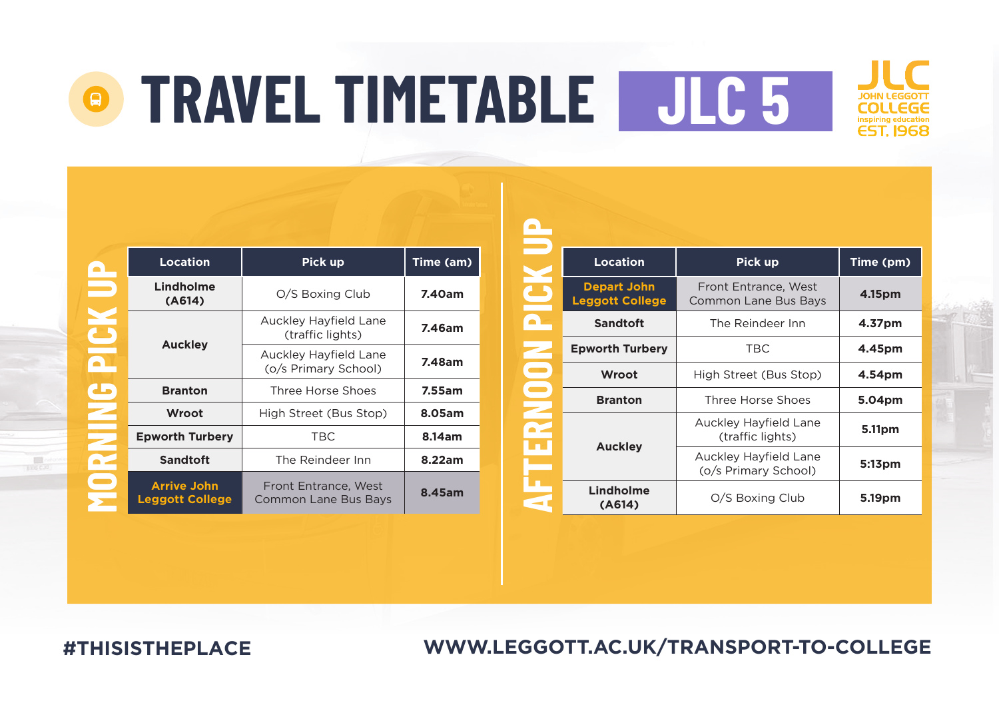|     | <b>Location</b>                              | Pick up                                       | Time (am) |
|-----|----------------------------------------------|-----------------------------------------------|-----------|
|     | Lindholme<br>(A614)                          | O/S Boxing Club                               | 7.40am    |
|     |                                              | Auckley Hayfield Lane<br>(traffic lights)     | 7.46am    |
|     | <b>Auckley</b>                               | Auckley Hayfield Lane<br>(o/s Primary School) | 7.48am    |
| ماه | <b>Branton</b>                               | Three Horse Shoes                             | 7.55am    |
|     | Wroot                                        | High Street (Bus Stop)                        | 8.05am    |
|     | <b>Epworth Turbery</b>                       | <b>TBC</b>                                    | 8.14am    |
|     | Sandtoft                                     | The Reindeer Inn                              | 8.22am    |
|     | <b>Arrive John</b><br><b>Leggott College</b> | Front Entrance, West<br>Common Lane Bus Bays  | 8.45am    |

|    | Location                                     | <b>Pick up</b>                                | Time (pm) |
|----|----------------------------------------------|-----------------------------------------------|-----------|
|    | <b>Depart John</b><br><b>Leggott College</b> | Front Entrance, West<br>Common Lane Bus Bays  | 4.15pm    |
|    | <b>Sandtoft</b>                              | The Reindeer Inn                              | 4.37pm    |
|    | <b>Epworth Turbery</b>                       | <b>TBC</b>                                    | 4.45pm    |
|    | Wroot                                        | High Street (Bus Stop)                        | 4.54pm    |
| e. | <b>Branton</b>                               | Three Horse Shoes                             | 5.04pm    |
|    | Auckley                                      | Auckley Hayfield Lane<br>(traffic lights)     | 5.11pm    |
|    |                                              | Auckley Hayfield Lane<br>(o/s Primary School) | 5:13pm    |
|    | Lindholme<br>(A614)                          | O/S Boxing Club                               | 5.19pm    |

**WWW.LEGGOTT.AC.UK/TRANSPORT-TO-COLLEGE**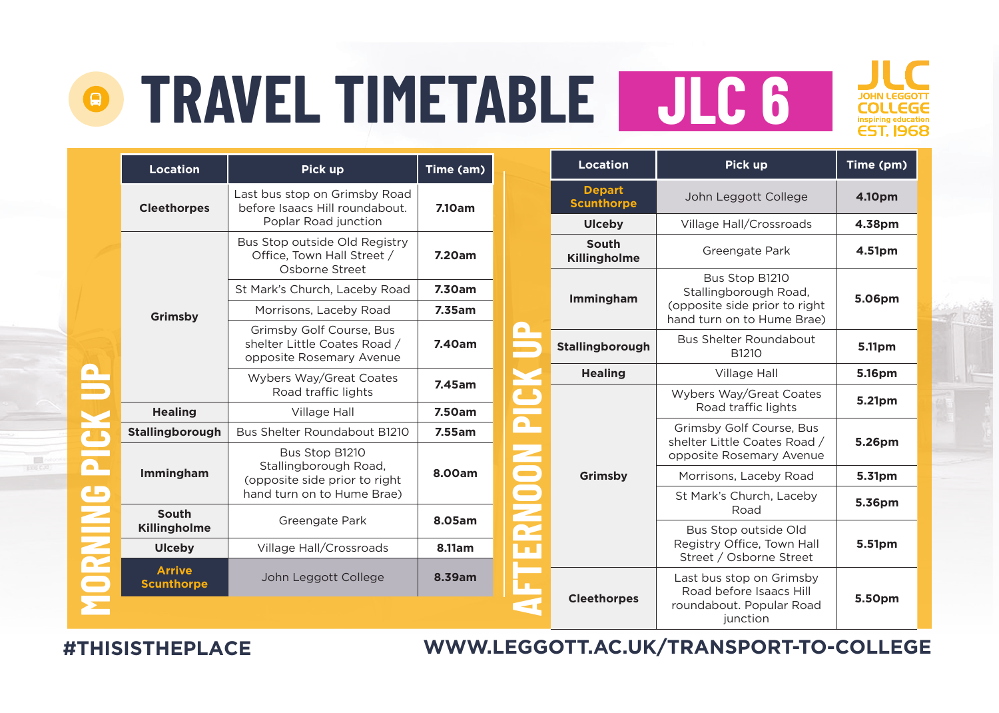

**Time (pm)** 

**5.06pm**

|                          | <b>Location</b>                    | Pick up                                                                              | Time (am) |                         | <b>Location</b>                    | Pick up                                                     | <b>Time (pn</b> |
|--------------------------|------------------------------------|--------------------------------------------------------------------------------------|-----------|-------------------------|------------------------------------|-------------------------------------------------------------|-----------------|
|                          | <b>Cleethorpes</b>                 | Last bus stop on Grimsby Road<br>before Isaacs Hill roundabout.                      | 7.10am    |                         | <b>Depart</b><br><b>Scunthorpe</b> | John Leggott College                                        | 4.10pm          |
|                          |                                    | Poplar Road junction                                                                 |           |                         | <b>Ulceby</b>                      | Village Hall/Crossroads                                     | 4.38pm          |
|                          |                                    | Bus Stop outside Old Registry<br>Office, Town Hall Street /<br>Osborne Street        | 7.20am    |                         | South<br>Killingholme              | Greengate Park                                              | 4.51pm          |
|                          |                                    | St Mark's Church, Laceby Road                                                        | 7.30am    |                         |                                    | Bus Stop B1210<br>Stallingborough Road,                     |                 |
|                          | Grimsby                            | Morrisons, Laceby Road                                                               | 7.35am    |                         | Immingham                          | (opposite side prior to right<br>hand turn on to Hume Brae) | 5.06pm          |
|                          |                                    | Grimsby Golf Course, Bus<br>shelter Little Coates Road /<br>opposite Rosemary Avenue | 7.40am    |                         | Stallingborough                    | <b>Bus Shelter Roundabout</b><br>B1210                      | 5.11pm          |
|                          |                                    | Wybers Way/Great Coates                                                              | 7.45am    |                         | <b>Healing</b>                     | Village Hall                                                | 5.16pm          |
|                          |                                    | Road traffic lights                                                                  |           |                         | Wybers Way/Great Coates            | 5.21pm                                                      |                 |
|                          | <b>Healing</b>                     | Village Hall                                                                         | 7.50am    |                         |                                    | Road traffic lights                                         |                 |
|                          | Stallingborough                    | Bus Shelter Roundabout B1210                                                         | 7.55am    | $\overline{\mathbf{a}}$ |                                    | Grimsby Golf Course, Bus<br>shelter Little Coates Road /    | 5.26pm          |
| $\overline{\phantom{a}}$ |                                    | Bus Stop B1210<br>Stallingborough Road,                                              |           |                         |                                    | opposite Rosemary Avenue                                    |                 |
|                          | Immingham                          | (opposite side prior to right)                                                       | 8.00am    |                         | Grimsby                            | Morrisons, Laceby Road                                      | 5.31pm          |
| مه                       |                                    | hand turn on to Hume Brae)                                                           |           | RNOON                   |                                    | St Mark's Church, Laceby<br>Road                            | 5.36pm          |
|                          | South<br>Killingholme              | Greengate Park                                                                       | 8.05am    |                         |                                    | Bus Stop outside Old                                        |                 |
|                          | <b>Ulceby</b>                      | Village Hall/Crossroads                                                              | 8.11am    | Lш                      |                                    | Registry Office. Town Hall<br>Street / Osborne Street       | 5.51pm          |
|                          | <b>Arrive</b><br><b>Scunthorpe</b> | John Leggott College                                                                 | 8.39am    |                         |                                    | Last bus stop on Grimsby<br>Road before Isaacs Hill         |                 |
|                          |                                    |                                                                                      |           |                         | <b>Cleethorpes</b>                 | roundabout. Popular Road<br>junction                        | 5.50pm          |

**WWW.LEGGOTT.AC.UK/TRANSPORT-TO-COLLEGE**

#### **#THISISTHEPLACE**

 $\frac{1}{100}$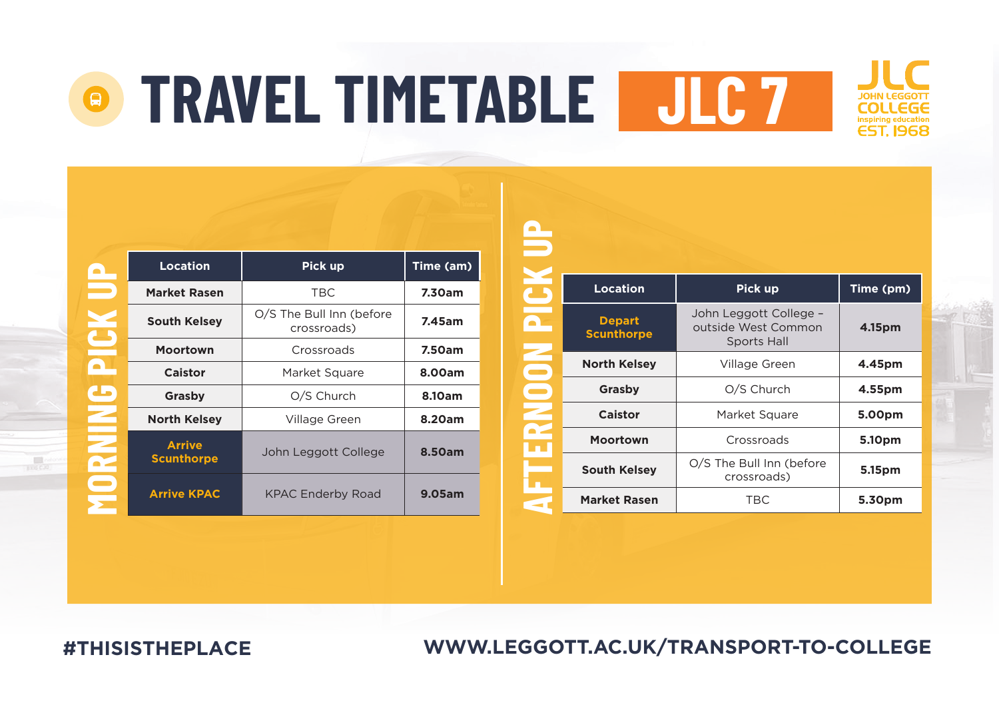## **TRAVEL TIMETABLE JLC 7** $\mathcal{L}_{\mathcal{A}}$

 $\mathbf{B}$ 



|     | <b>Location</b>                    | Pick up                                 | Time (am) |
|-----|------------------------------------|-----------------------------------------|-----------|
|     | <b>Market Rasen</b>                | <b>TBC</b>                              | 7.30am    |
|     | <b>South Kelsey</b>                | O/S The Bull Inn (before<br>crossroads) | 7.45am    |
|     | <b>Moortown</b>                    | Crossroads                              | 7.50am    |
|     | Caistor                            | Market Square                           | 8.00am    |
| مله | Grasby                             | O/S Church                              | 8.10am    |
|     | <b>North Kelsev</b>                | Village Green                           | 8.20am    |
|     | <b>Arrive</b><br><b>Scunthorpe</b> | John Leggott College                    | 8.50am    |
|     | <b>Arrive KPAC</b>                 | <b>KPAC Enderby Road</b>                | 9.05am    |

|        | <b>Location</b>                    | Pick up                                                             | Time (pm) |
|--------|------------------------------------|---------------------------------------------------------------------|-----------|
|        | <b>Depart</b><br><b>Scunthorpe</b> | John Leggott College -<br>outside West Common<br><b>Sports Hall</b> | 4.15pm    |
| e<br>S | <b>North Kelsey</b>                | Village Green                                                       | 4.45pm    |
|        | Grasby                             | O/S Church                                                          | 4.55pm    |
|        | Caistor                            | Market Square                                                       | 5.00pm    |
|        | Moortown                           | Crossroads                                                          | 5.10pm    |
|        | <b>South Kelsey</b>                | O/S The Bull Inn (before<br>crossroads)                             | 5.15pm    |
|        | <b>Market Rasen</b>                | <b>TBC</b>                                                          | 5.30pm    |

**#THISISTHEPLACE**

## **WWW.LEGGOTT.AC.UK/TRANSPORT-TO-COLLEGE**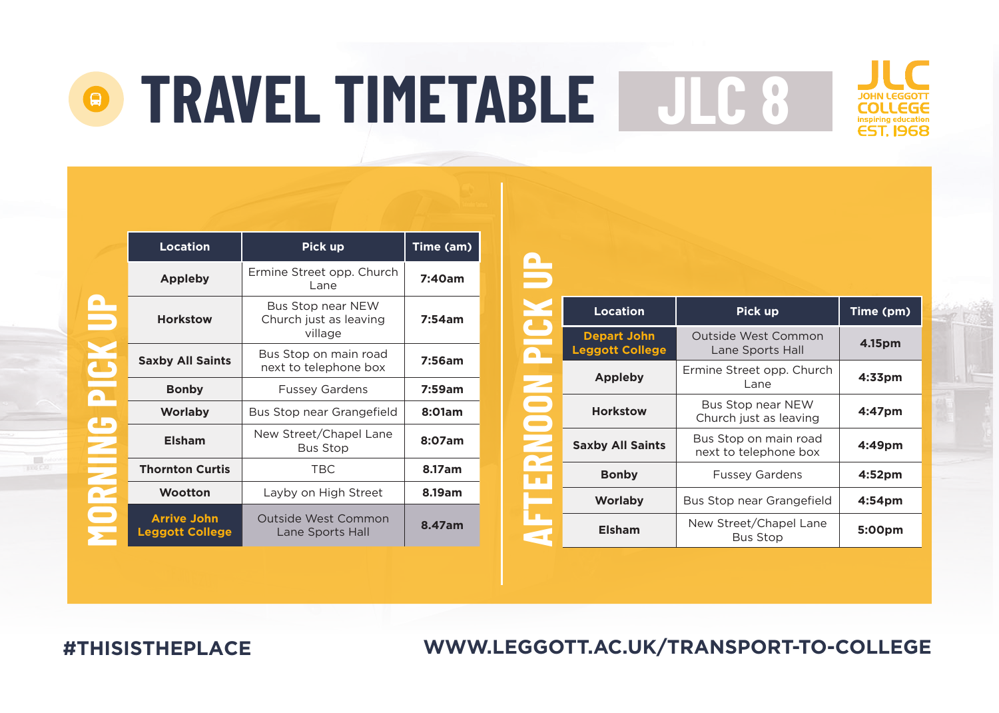

|               | <b>Location</b>                              | Pick up                                                | Time (am) |
|---------------|----------------------------------------------|--------------------------------------------------------|-----------|
|               | Appleby                                      | Ermine Street opp. Church<br>Lane                      | 7:40am    |
| P             | <b>Horkstow</b>                              | Bus Stop near NEW<br>Church just as leaving<br>village | 7:54am    |
| $\mathbf{C}$  | <b>Saxby All Saints</b>                      | Bus Stop on main road<br>next to telephone box         | 7:56am    |
|               | <b>Bonby</b>                                 | <b>Fussey Gardens</b>                                  | 7:59am    |
|               | <b>Worlaby</b>                               | Bus Stop near Grangefield                              | 8:01am    |
| $\frac{1}{2}$ | <b>Elsham</b>                                | New Street/Chapel Lane<br><b>Bus Stop</b>              | 8:07am    |
|               | <b>Thornton Curtis</b>                       | <b>TBC</b>                                             | 8.17am    |
|               | Wootton                                      | Layby on High Street                                   | 8.19am    |
|               | <b>Arrive John</b><br><b>Leggott College</b> | Outside West Common<br>Lane Sports Hall                | 8.47am    |

|   | <b>Location</b>                              | Pick up                                        | Time (pm)          |
|---|----------------------------------------------|------------------------------------------------|--------------------|
|   | <b>Depart John</b><br><b>Leggott College</b> | Outside West Common<br>Lane Sports Hall        | 4.15pm             |
|   | Appleby                                      | Ermine Street opp. Church<br>Lane              | $4:33$ pm          |
| ۰ | <b>Horkstow</b>                              | Bus Stop near NEW<br>Church just as leaving    | 4:47pm             |
|   | <b>Saxby All Saints</b>                      | Bus Stop on main road<br>next to telephone box | 4:49pm             |
|   | <b>Bonby</b>                                 | <b>Fussey Gardens</b>                          | 4:52 <sub>pm</sub> |
|   | Worlaby                                      | Bus Stop near Grangefield                      | 4:54 <sub>pm</sub> |
|   | Elsham                                       | New Street/Chapel Lane<br><b>Bus Stop</b>      | 5:00pm             |

**WWW.LEGGOTT.AC.UK/TRANSPORT-TO-COLLEGE**

**#THISISTHEPLACE**

 $\mathbb{R}^n$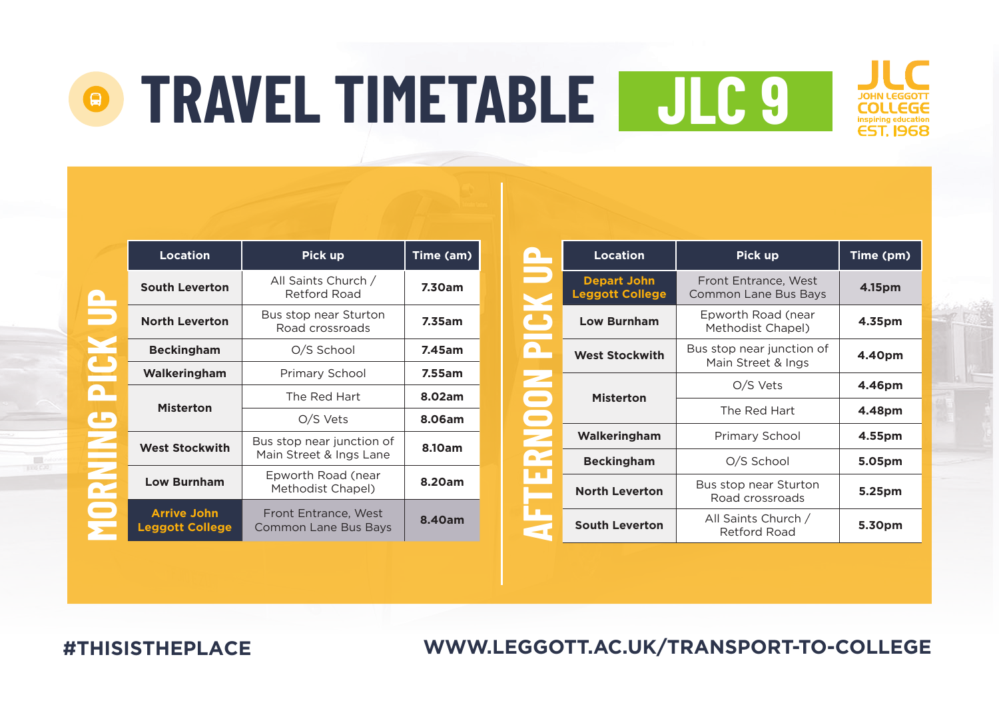|                | <b>Location</b>                              | Pick up                                              | Time (am) |
|----------------|----------------------------------------------|------------------------------------------------------|-----------|
| $\blacksquare$ | <b>South Leverton</b>                        | All Saints Church /<br>Retford Road                  | 7.30am    |
|                | <b>North Leverton</b>                        | Bus stop near Sturton<br>Road crossroads             | 7.35am    |
|                | <b>Beckingham</b>                            | O/S School                                           | 7.45am    |
|                | Walkeringham                                 | Primary School                                       | 7.55am    |
|                | <b>Misterton</b>                             | The Red Hart                                         | 8.02am    |
| مه             |                                              | O/S Vets                                             | 8.06am    |
|                | <b>West Stockwith</b>                        | Bus stop near junction of<br>Main Street & Ings Lane | 8.10am    |
|                | <b>Low Burnham</b>                           | Epworth Road (near<br>Methodist Chapel)              | 8.20am    |
|                | <b>Arrive John</b><br><b>Leggott College</b> | Front Entrance, West<br>Common Lane Bus Bays         | 8.40am    |

|   | Location                                     | Pick up                                         | Time (pm) |
|---|----------------------------------------------|-------------------------------------------------|-----------|
|   | <b>Depart John</b><br><b>Leggott College</b> | Front Entrance, West<br>Common Lane Bus Bays    | 4.15pm    |
|   | <b>Low Burnham</b>                           | Epworth Road (near<br>Methodist Chapel)         | 4.35pm    |
|   | <b>West Stockwith</b>                        | Bus stop near junction of<br>Main Street & Ings | 4.40pm    |
|   | <b>Misterton</b>                             | O/S Vets                                        | 4.46pm    |
| Ξ |                                              | The Red Hart                                    | 4.48pm    |
|   | Walkeringham                                 | Primary School                                  | 4.55pm    |
|   | <b>Beckingham</b>                            | O/S School                                      | 5.05pm    |
|   | <b>North Leverton</b>                        | Bus stop near Sturton<br>Road crossroads        | 5.25pm    |
|   | <b>South Leverton</b>                        | All Saints Church /<br>Retford Road             | 5.30pm    |

**WWW.LEGGOTT.AC.UK/TRANSPORT-TO-COLLEGE**

**#THISISTHEPLACE**

C

a<br>C

**NINGON** 

黒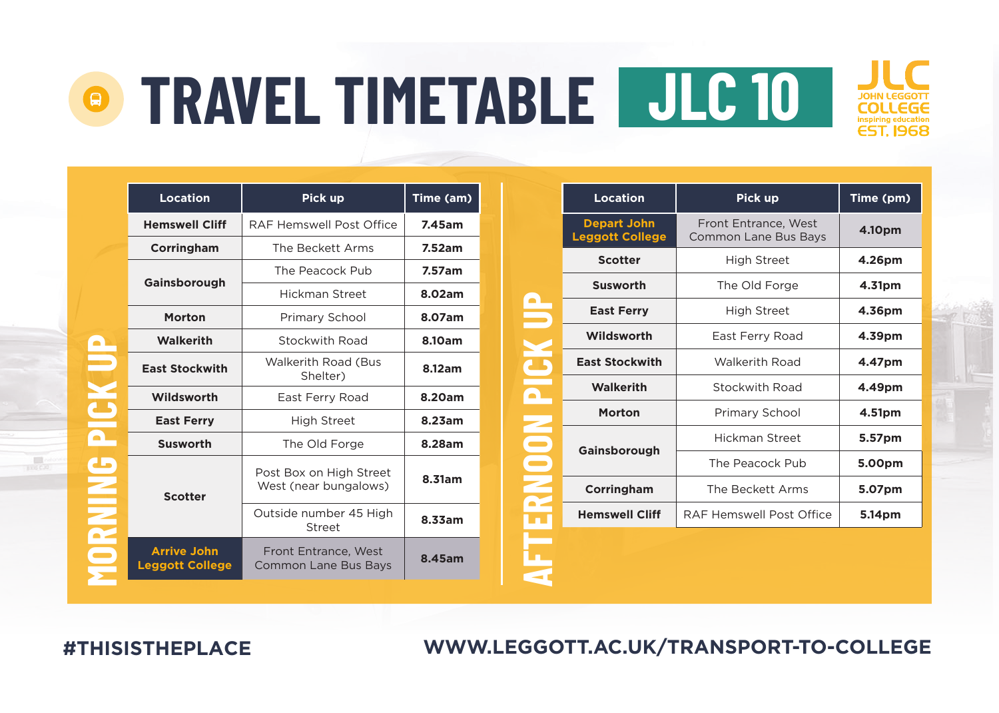|  | Location                                     | Pick up                                             | Time (am) |
|--|----------------------------------------------|-----------------------------------------------------|-----------|
|  | <b>Hemswell Cliff</b>                        | RAF Hemswell Post Office                            | 7.45am    |
|  | Corringham                                   | The Beckett Arms                                    | 7.52am    |
|  | Gainsborough                                 | The Peacock Pub                                     | 7.57am    |
|  |                                              | Hickman Street                                      | 8.02am    |
|  | Morton                                       | Primary School                                      | 8.07am    |
|  | Walkerith                                    | Stockwith Road                                      | 8.10am    |
|  | <b>East Stockwith</b>                        | Walkerith Road (Bus<br>Shelter)                     | 8.12am    |
|  | Wildsworth                                   | East Ferry Road                                     | 8.20am    |
|  | <b>East Ferry</b>                            | <b>High Street</b>                                  | 8.23am    |
|  | <b>Susworth</b>                              | The Old Forge                                       | 8.28am    |
|  | <b>Scotter</b>                               | Post Box on High Street<br>West (near bungalows)    | 8.31am    |
|  |                                              | Outside number 45 High<br>Street                    | 8.33am    |
|  | <b>Arrive John</b><br><b>Leggott College</b> | Front Entrance, West<br><b>Common Lane Bus Bays</b> | 8.45am    |

| Location                                     | Pick up                                             | Time (pm) |
|----------------------------------------------|-----------------------------------------------------|-----------|
| <b>Depart John</b><br><b>Leggott College</b> | Front Entrance, West<br><b>Common Lane Bus Bays</b> | 4.10pm    |
| <b>Scotter</b>                               | <b>High Street</b>                                  | 4.26pm    |
| <b>Susworth</b>                              | The Old Forge                                       | 4.31pm    |
| <b>East Ferry</b>                            | <b>High Street</b>                                  | 4.36pm    |
| Wildsworth                                   | East Ferry Road                                     | 4.39pm    |
| <b>East Stockwith</b>                        | <b>Walkerith Road</b>                               | 4.47pm    |
| <b>Walkerith</b>                             | Stockwith Road                                      | 4.49pm    |
| Morton                                       | Primary School                                      | 4.51pm    |
|                                              | Hickman Street                                      | 5.57pm    |
| Gainsborough                                 | The Peacock Pub                                     | 5.00pm    |
| Corringham                                   | The Beckett Arms                                    | 5.07pm    |
| <b>Hemswell Cliff</b>                        | RAF Hemswell Post Office                            | 5.14pm    |
|                                              |                                                     |           |
|                                              |                                                     |           |
|                                              |                                                     |           |

**WWW.LEGGOTT.AC.UK/TRANSPORT-TO-COLLEGE**